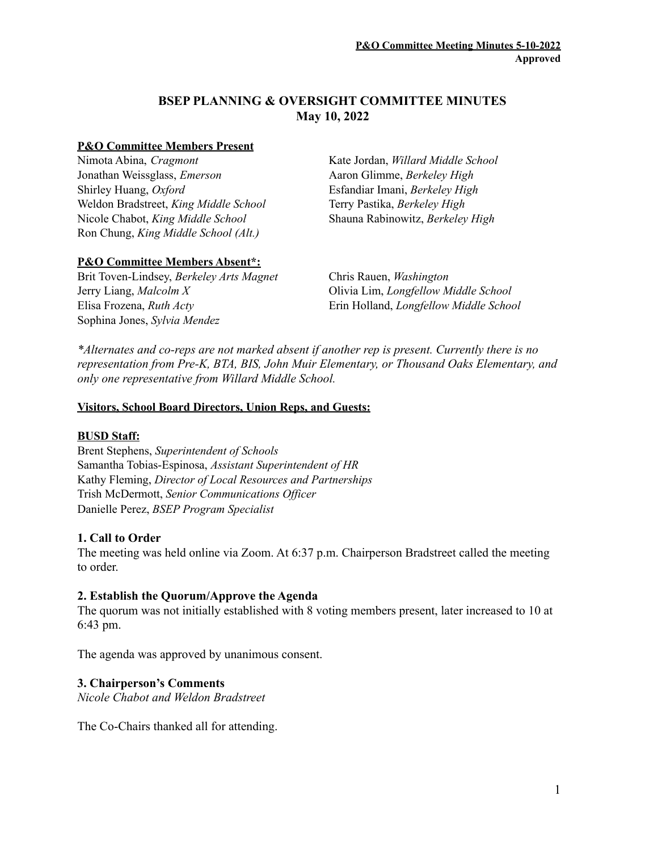# **BSEP PLANNING & OVERSIGHT COMMITTEE MINUTES May 10, 2022**

#### **P&O Committee Members Present**

Nimota Abina, *Cragmont* Jonathan Weissglass, *Emerson* Shirley Huang, *Oxford* Weldon Bradstreet, *King Middle School* Nicole Chabot, *King Middle School* Ron Chung, *King Middle School (Alt.)*

Kate Jordan, *Willard Middle School* Aaron Glimme, *Berkeley High* Esfandiar Imani, *Berkeley High* Terry Pastika, *Berkeley High* Shauna Rabinowitz, *Berkeley High*

## **P&O Committee Members Absent\*:**

Brit Toven-Lindsey, *Berkeley Arts Magnet* Chris Rauen, *Washington* Jerry Liang, *Malcolm X* Olivia Lim, *Longfellow Middle School* Elisa Frozena, *Ruth Acty* Erin Holland, *Longfellow Middle School* Sophina Jones, *Sylvia Mendez*

*\*Alternates and co-reps are not marked absent if another rep is present. Currently there is no representation from Pre-K, BTA, BIS, John Muir Elementary, or Thousand Oaks Elementary, and only one representative from Willard Middle School.*

### **Visitors, School Board Directors, Union Reps, and Guests:**

#### **BUSD Staff:**

Brent Stephens, *Superintendent of Schools* Samantha Tobias-Espinosa, *Assistant Superintendent of HR* Kathy Fleming, *Director of Local Resources and Partnerships* Trish McDermott, *Senior Communications Of icer* Danielle Perez, *BSEP Program Specialist*

## **1. Call to Order**

The meeting was held online via Zoom. At 6:37 p.m. Chairperson Bradstreet called the meeting to order.

## **2. Establish the Quorum/Approve the Agenda**

The quorum was not initially established with 8 voting members present, later increased to 10 at 6:43 pm.

The agenda was approved by unanimous consent.

## **3. Chairperson's Comments**

*Nicole Chabot and Weldon Bradstreet*

The Co-Chairs thanked all for attending.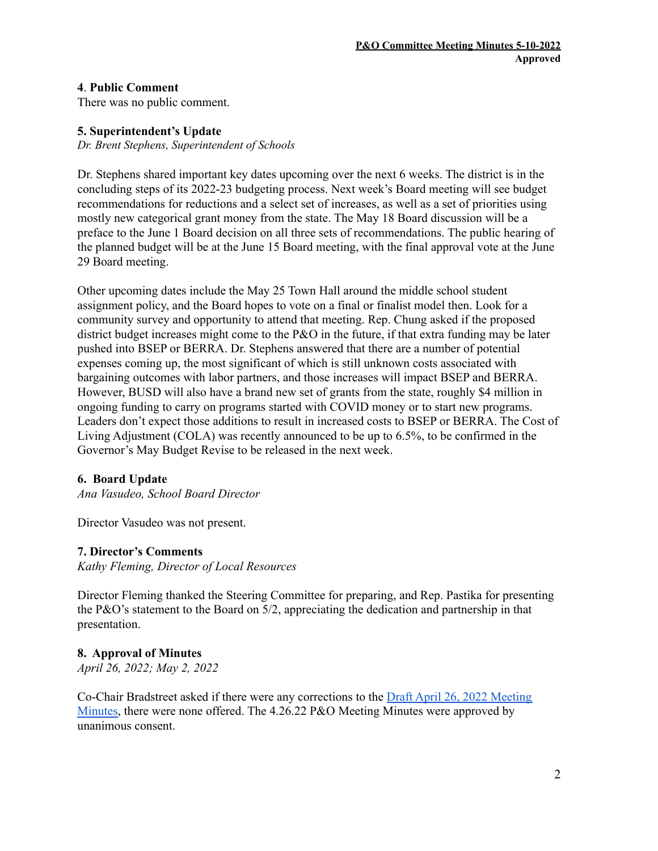## **4**. **Public Comment**

There was no public comment.

#### **5. Superintendent's Update**

*Dr. Brent Stephens, Superintendent of Schools*

Dr. Stephens shared important key dates upcoming over the next 6 weeks. The district is in the concluding steps of its 2022-23 budgeting process. Next week's Board meeting will see budget recommendations for reductions and a select set of increases, as well as a set of priorities using mostly new categorical grant money from the state. The May 18 Board discussion will be a preface to the June 1 Board decision on all three sets of recommendations. The public hearing of the planned budget will be at the June 15 Board meeting, with the final approval vote at the June 29 Board meeting.

Other upcoming dates include the May 25 Town Hall around the middle school student assignment policy, and the Board hopes to vote on a final or finalist model then. Look for a community survey and opportunity to attend that meeting. Rep. Chung asked if the proposed district budget increases might come to the P&O in the future, if that extra funding may be later pushed into BSEP or BERRA. Dr. Stephens answered that there are a number of potential expenses coming up, the most significant of which is still unknown costs associated with bargaining outcomes with labor partners, and those increases will impact BSEP and BERRA. However, BUSD will also have a brand new set of grants from the state, roughly \$4 million in ongoing funding to carry on programs started with COVID money or to start new programs. Leaders don't expect those additions to result in increased costs to BSEP or BERRA. The Cost of Living Adjustment (COLA) was recently announced to be up to 6.5%, to be confirmed in the Governor's May Budget Revise to be released in the next week.

#### **6. Board Update**

*Ana Vasudeo, School Board Director*

Director Vasudeo was not present.

#### **7. Director's Comments**

*Kathy Fleming, Director of Local Resources*

Director Fleming thanked the Steering Committee for preparing, and Rep. Pastika for presenting the P&O's statement to the Board on 5/2, appreciating the dedication and partnership in that presentation.

#### **8. Approval of Minutes**

*April 26, 2022; May 2, 2022*

Co-Chair Bradstreet asked if there were any corrections to the Draft April 26, 2022 [Meeting](https://www.berkeleyschools.net/wp-content/uploads/2022/05/DRAFT-PO-Mtg-Minutes_220426.pdf) [Minutes,](https://www.berkeleyschools.net/wp-content/uploads/2022/05/DRAFT-PO-Mtg-Minutes_220426.pdf) there were none offered. The 4.26.22 P&O Meeting Minutes were approved by unanimous consent.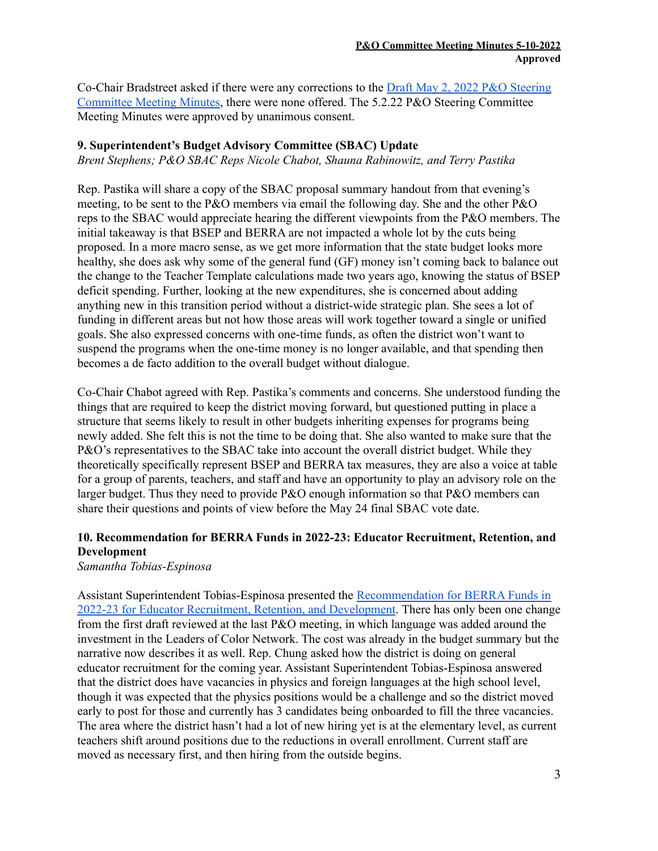Co-Chair Bradstreet asked if there were any corrections to the Draft May 2, 2022 P&O [Steering](https://www.berkeleyschools.net/wp-content/uploads/2022/05/DRAFT-PO-Steering-Committee-Mtg-Minutes_220502.pdf) [Committee](https://www.berkeleyschools.net/wp-content/uploads/2022/05/DRAFT-PO-Steering-Committee-Mtg-Minutes_220502.pdf) Meeting Minutes, there were none offered. The 5.2.22 P&O Steering Committee Meeting Minutes were approved by unanimous consent.

## **9. Superintendent's Budget Advisory Committee (SBAC) Update**

*Brent Stephens; P&O SBAC Reps Nicole Chabot, Shauna Rabinowitz, and Terry Pastika*

Rep. Pastika will share a copy of the SBAC proposal summary handout from that evening's meeting, to be sent to the P&O members via email the following day. She and the other P&O reps to the SBAC would appreciate hearing the different viewpoints from the P&O members. The initial takeaway is that BSEP and BERRA are not impacted a whole lot by the cuts being proposed. In a more macro sense, as we get more information that the state budget looks more healthy, she does ask why some of the general fund (GF) money isn't coming back to balance out the change to the Teacher Template calculations made two years ago, knowing the status of BSEP deficit spending. Further, looking at the new expenditures, she is concerned about adding anything new in this transition period without a district-wide strategic plan. She sees a lot of funding in different areas but not how those areas will work together toward a single or unified goals. She also expressed concerns with one-time funds, as often the district won't want to suspend the programs when the one-time money is no longer available, and that spending then becomes a de facto addition to the overall budget without dialogue.

Co-Chair Chabot agreed with Rep. Pastika's comments and concerns. She understood funding the things that are required to keep the district moving forward, but questioned putting in place a structure that seems likely to result in other budgets inheriting expenses for programs being newly added. She felt this is not the time to be doing that. She also wanted to make sure that the P&O's representatives to the SBAC take into account the overall district budget. While they theoretically specifically represent BSEP and BERRA tax measures, they are also a voice at table for a group of parents, teachers, and staff and have an opportunity to play an advisory role on the larger budget. Thus they need to provide P&O enough information so that P&O members can share their questions and points of view before the May 24 final SBAC vote date.

# **10. Recommendation for BERRA Funds in 2022-23: Educator Recruitment, Retention, and Development**

*Samantha Tobias-Espinosa*

Assistant Superintendent Tobias-Espinosa presented the [Recommendation](https://docs.google.com/document/d/1chMRyddfLZnndYWYW90J9QNC8xM2TAFK/edit?usp=sharing&ouid=104860127303609493471&rtpof=true&sd=true) for BERRA Funds in 2022-23 for Educator Recruitment, Retention, and [Development](https://docs.google.com/document/d/1chMRyddfLZnndYWYW90J9QNC8xM2TAFK/edit?usp=sharing&ouid=104860127303609493471&rtpof=true&sd=true). There has only been one change from the first draft reviewed at the last P&O meeting, in which language was added around the investment in the Leaders of Color Network. The cost was already in the budget summary but the narrative now describes it as well. Rep. Chung asked how the district is doing on general educator recruitment for the coming year. Assistant Superintendent Tobias-Espinosa answered that the district does have vacancies in physics and foreign languages at the high school level, though it was expected that the physics positions would be a challenge and so the district moved early to post for those and currently has 3 candidates being onboarded to fill the three vacancies. The area where the district hasn't had a lot of new hiring yet is at the elementary level, as current teachers shift around positions due to the reductions in overall enrollment. Current staff are moved as necessary first, and then hiring from the outside begins.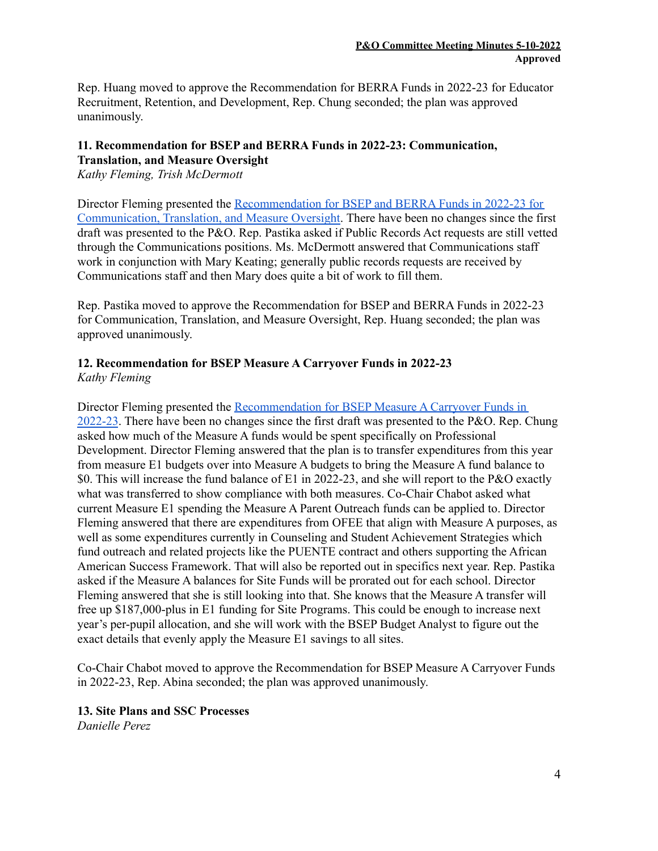Rep. Huang moved to approve the Recommendation for BERRA Funds in 2022-23 for Educator Recruitment, Retention, and Development, Rep. Chung seconded; the plan was approved unanimously.

### **11. Recommendation for BSEP and BERRA Funds in 2022-23: Communication, Translation, and Measure Oversight**

*Kathy Fleming, Trish McDermott*

Director Fleming presented the [Recommendation](https://www.berkeleyschools.net/wp-content/uploads/2022/05/Draft-2-BSEP_BERRA-Oversight-Translation-and-Communication-22-23-Annual-Plan-for-P_O-Approval-May-10-2022.pdf) for BSEP and BERRA Funds in 2022-23 for [Communication,](https://www.berkeleyschools.net/wp-content/uploads/2022/05/Draft-2-BSEP_BERRA-Oversight-Translation-and-Communication-22-23-Annual-Plan-for-P_O-Approval-May-10-2022.pdf) Translation, and Measure Oversight. There have been no changes since the first draft was presented to the P&O. Rep. Pastika asked if Public Records Act requests are still vetted through the Communications positions. Ms. McDermott answered that Communications staff work in conjunction with Mary Keating; generally public records requests are received by Communications staff and then Mary does quite a bit of work to fill them.

Rep. Pastika moved to approve the Recommendation for BSEP and BERRA Funds in 2022-23 for Communication, Translation, and Measure Oversight, Rep. Huang seconded; the plan was approved unanimously.

## **12. Recommendation for BSEP Measure A Carryover Funds in 2022-23** *Kathy Fleming*

Director Fleming presented the [Recommendation](https://www.berkeleyschools.net/wp-content/uploads/2022/05/Measure-A-Close-Out-Plan-2nd-Read-PO-5-10-22-Fin-for-P_O.pdf) for BSEP Measure A Carryover Funds in [2022-23](https://www.berkeleyschools.net/wp-content/uploads/2022/05/Measure-A-Close-Out-Plan-2nd-Read-PO-5-10-22-Fin-for-P_O.pdf). There have been no changes since the first draft was presented to the P&O. Rep. Chung asked how much of the Measure A funds would be spent specifically on Professional Development. Director Fleming answered that the plan is to transfer expenditures from this year from measure E1 budgets over into Measure A budgets to bring the Measure A fund balance to \$0. This will increase the fund balance of E1 in 2022-23, and she will report to the P&O exactly what was transferred to show compliance with both measures. Co-Chair Chabot asked what current Measure E1 spending the Measure A Parent Outreach funds can be applied to. Director Fleming answered that there are expenditures from OFEE that align with Measure A purposes, as well as some expenditures currently in Counseling and Student Achievement Strategies which fund outreach and related projects like the PUENTE contract and others supporting the African American Success Framework. That will also be reported out in specifics next year. Rep. Pastika asked if the Measure A balances for Site Funds will be prorated out for each school. Director Fleming answered that she is still looking into that. She knows that the Measure A transfer will free up \$187,000-plus in E1 funding for Site Programs. This could be enough to increase next year's per-pupil allocation, and she will work with the BSEP Budget Analyst to figure out the exact details that evenly apply the Measure E1 savings to all sites.

Co-Chair Chabot moved to approve the Recommendation for BSEP Measure A Carryover Funds in 2022-23, Rep. Abina seconded; the plan was approved unanimously.

# **13. Site Plans and SSC Processes**

*Danielle Perez*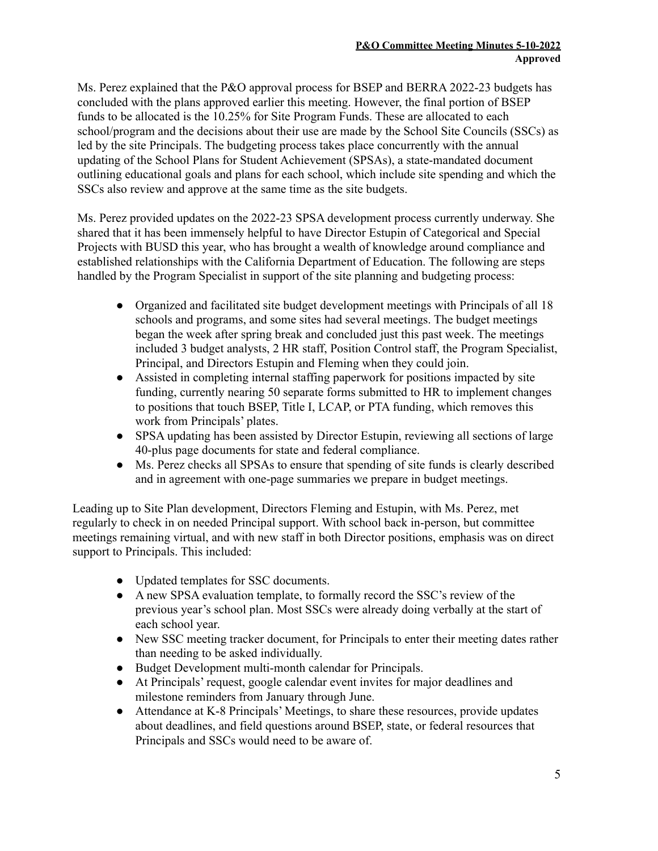Ms. Perez explained that the P&O approval process for BSEP and BERRA 2022-23 budgets has concluded with the plans approved earlier this meeting. However, the final portion of BSEP funds to be allocated is the 10.25% for Site Program Funds. These are allocated to each school/program and the decisions about their use are made by the School Site Councils (SSCs) as led by the site Principals. The budgeting process takes place concurrently with the annual updating of the School Plans for Student Achievement (SPSAs), a state-mandated document outlining educational goals and plans for each school, which include site spending and which the SSCs also review and approve at the same time as the site budgets.

Ms. Perez provided updates on the 2022-23 SPSA development process currently underway. She shared that it has been immensely helpful to have Director Estupin of Categorical and Special Projects with BUSD this year, who has brought a wealth of knowledge around compliance and established relationships with the California Department of Education. The following are steps handled by the Program Specialist in support of the site planning and budgeting process:

- Organized and facilitated site budget development meetings with Principals of all 18 schools and programs, and some sites had several meetings. The budget meetings began the week after spring break and concluded just this past week. The meetings included 3 budget analysts, 2 HR staff, Position Control staff, the Program Specialist, Principal, and Directors Estupin and Fleming when they could join.
- Assisted in completing internal staffing paperwork for positions impacted by site funding, currently nearing 50 separate forms submitted to HR to implement changes to positions that touch BSEP, Title I, LCAP, or PTA funding, which removes this work from Principals' plates.
- SPSA updating has been assisted by Director Estupin, reviewing all sections of large 40-plus page documents for state and federal compliance.
- Ms. Perez checks all SPSAs to ensure that spending of site funds is clearly described and in agreement with one-page summaries we prepare in budget meetings.

Leading up to Site Plan development, Directors Fleming and Estupin, with Ms. Perez, met regularly to check in on needed Principal support. With school back in-person, but committee meetings remaining virtual, and with new staff in both Director positions, emphasis was on direct support to Principals. This included:

- Updated templates for SSC documents.
- A new SPSA evaluation template, to formally record the SSC's review of the previous year's school plan. Most SSCs were already doing verbally at the start of each school year.
- New SSC meeting tracker document, for Principals to enter their meeting dates rather than needing to be asked individually.
- Budget Development multi-month calendar for Principals.
- At Principals' request, google calendar event invites for major deadlines and milestone reminders from January through June.
- Attendance at K-8 Principals' Meetings, to share these resources, provide updates about deadlines, and field questions around BSEP, state, or federal resources that Principals and SSCs would need to be aware of.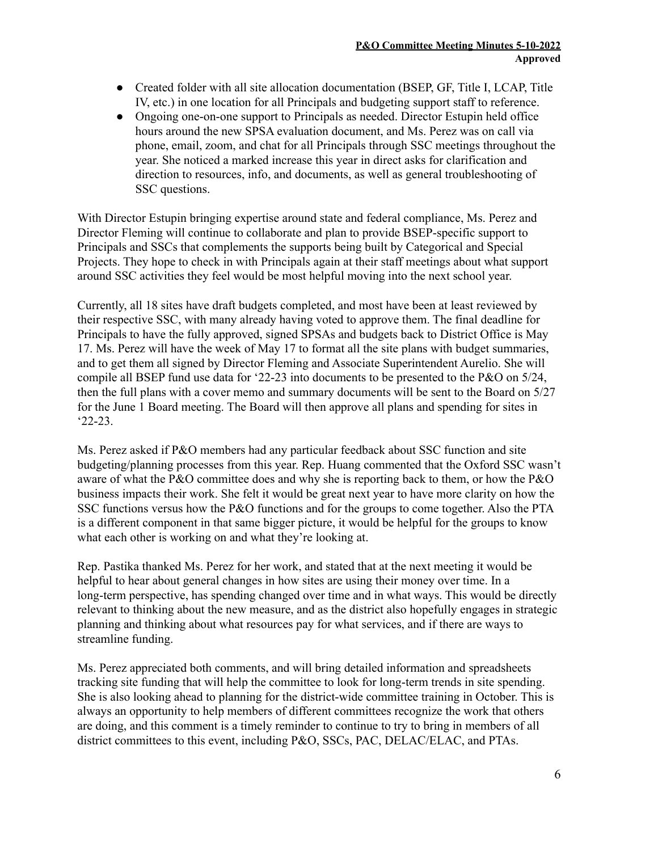- Created folder with all site allocation documentation (BSEP, GF, Title I, LCAP, Title IV, etc.) in one location for all Principals and budgeting support staff to reference.
- Ongoing one-on-one support to Principals as needed. Director Estupin held office hours around the new SPSA evaluation document, and Ms. Perez was on call via phone, email, zoom, and chat for all Principals through SSC meetings throughout the year. She noticed a marked increase this year in direct asks for clarification and direction to resources, info, and documents, as well as general troubleshooting of SSC questions.

With Director Estupin bringing expertise around state and federal compliance, Ms. Perez and Director Fleming will continue to collaborate and plan to provide BSEP-specific support to Principals and SSCs that complements the supports being built by Categorical and Special Projects. They hope to check in with Principals again at their staff meetings about what support around SSC activities they feel would be most helpful moving into the next school year.

Currently, all 18 sites have draft budgets completed, and most have been at least reviewed by their respective SSC, with many already having voted to approve them. The final deadline for Principals to have the fully approved, signed SPSAs and budgets back to District Office is May 17. Ms. Perez will have the week of May 17 to format all the site plans with budget summaries, and to get them all signed by Director Fleming and Associate Superintendent Aurelio. She will compile all BSEP fund use data for '22-23 into documents to be presented to the P&O on 5/24, then the full plans with a cover memo and summary documents will be sent to the Board on 5/27 for the June 1 Board meeting. The Board will then approve all plans and spending for sites in '22-23.

Ms. Perez asked if P&O members had any particular feedback about SSC function and site budgeting/planning processes from this year. Rep. Huang commented that the Oxford SSC wasn't aware of what the P&O committee does and why she is reporting back to them, or how the P&O business impacts their work. She felt it would be great next year to have more clarity on how the SSC functions versus how the P&O functions and for the groups to come together. Also the PTA is a different component in that same bigger picture, it would be helpful for the groups to know what each other is working on and what they're looking at.

Rep. Pastika thanked Ms. Perez for her work, and stated that at the next meeting it would be helpful to hear about general changes in how sites are using their money over time. In a long-term perspective, has spending changed over time and in what ways. This would be directly relevant to thinking about the new measure, and as the district also hopefully engages in strategic planning and thinking about what resources pay for what services, and if there are ways to streamline funding.

Ms. Perez appreciated both comments, and will bring detailed information and spreadsheets tracking site funding that will help the committee to look for long-term trends in site spending. She is also looking ahead to planning for the district-wide committee training in October. This is always an opportunity to help members of different committees recognize the work that others are doing, and this comment is a timely reminder to continue to try to bring in members of all district committees to this event, including P&O, SSCs, PAC, DELAC/ELAC, and PTAs.